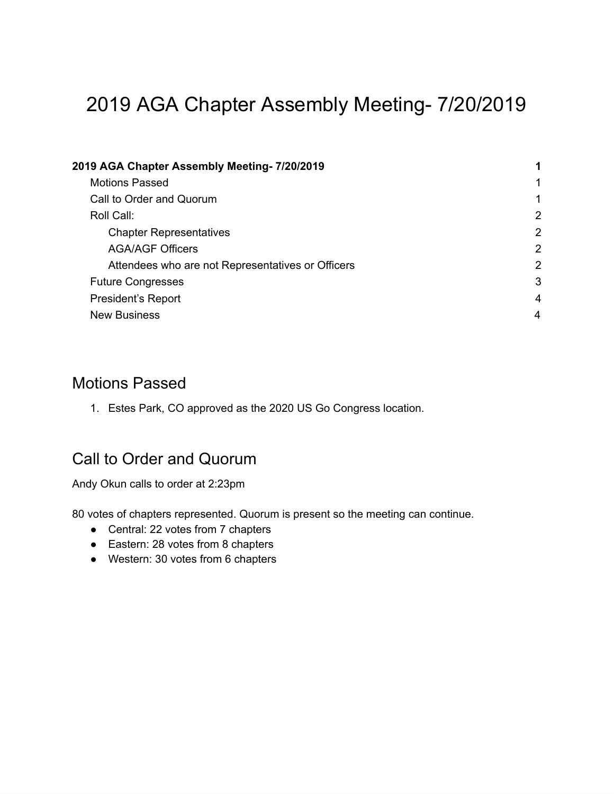# <span id="page-0-0"></span>2019 AGA Chapter Assembly Meeting- 7/20/2019

| 2019 AGA Chapter Assembly Meeting- 7/20/2019      |   |
|---------------------------------------------------|---|
| <b>Motions Passed</b>                             | 1 |
| Call to Order and Quorum                          | 1 |
| Roll Call:                                        | 2 |
| <b>Chapter Representatives</b>                    | 2 |
| <b>AGA/AGF Officers</b>                           | 2 |
| Attendees who are not Representatives or Officers | 2 |
| <b>Future Congresses</b>                          | 3 |
| <b>President's Report</b>                         | 4 |
| <b>New Business</b>                               | 4 |

#### <span id="page-0-1"></span>Motions Passed

1. Estes Park, CO approved as the 2020 US Go Congress location.

## <span id="page-0-2"></span>Call to Order and Quorum

Andy Okun calls to order at 2:23pm

80 votes of chapters represented. Quorum is present so the meeting can continue.

- Central: 22 votes from 7 chapters
- Eastern: 28 votes from 8 chapters
- Western: 30 votes from 6 chapters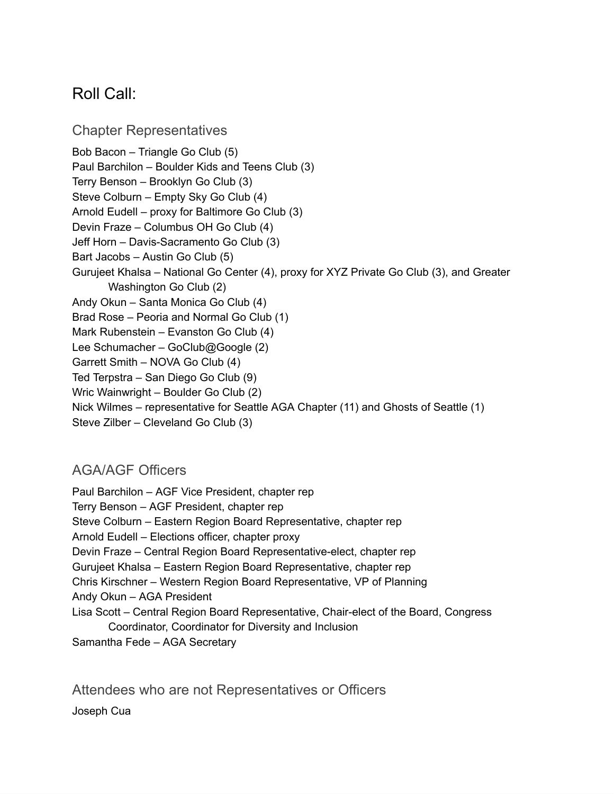## <span id="page-1-0"></span>Roll Call:

<span id="page-1-1"></span>Chapter Representatives Bob Bacon – Triangle Go Club (5) Paul Barchilon – Boulder Kids and Teens Club (3) Terry Benson – Brooklyn Go Club (3) Steve Colburn – Empty Sky Go Club (4) Arnold Eudell – proxy for Baltimore Go Club (3) Devin Fraze – Columbus OH Go Club (4) Jeff Horn – Davis-Sacramento Go Club (3) Bart Jacobs – Austin Go Club (5) Gurujeet Khalsa – National Go Center (4), proxy for XYZ Private Go Club (3), and Greater Washington Go Club (2) Andy Okun – Santa Monica Go Club (4) Brad Rose – Peoria and Normal Go Club (1) Mark Rubenstein – Evanston Go Club (4) Lee Schumacher – GoClub@Google (2) Garrett Smith – NOVA Go Club (4) Ted Terpstra – San Diego Go Club (9) Wric Wainwright – Boulder Go Club (2) Nick Wilmes – representative for Seattle AGA Chapter (11) and Ghosts of Seattle (1) Steve Zilber – Cleveland Go Club (3)

#### <span id="page-1-2"></span>AGA/AGF Officers

Paul Barchilon – AGF Vice President, chapter rep Terry Benson – AGF President, chapter rep Steve Colburn – Eastern Region Board Representative, chapter rep Arnold Eudell – Elections officer, chapter proxy Devin Fraze – Central Region Board Representative-elect, chapter rep Gurujeet Khalsa – Eastern Region Board Representative, chapter rep Chris Kirschner – Western Region Board Representative, VP of Planning Andy Okun – AGA President Lisa Scott – Central Region Board Representative, Chair-elect of the Board, Congress Coordinator, Coordinator for Diversity and Inclusion Samantha Fede – AGA Secretary

<span id="page-1-3"></span>Attendees who are not Representatives or Officers Joseph Cua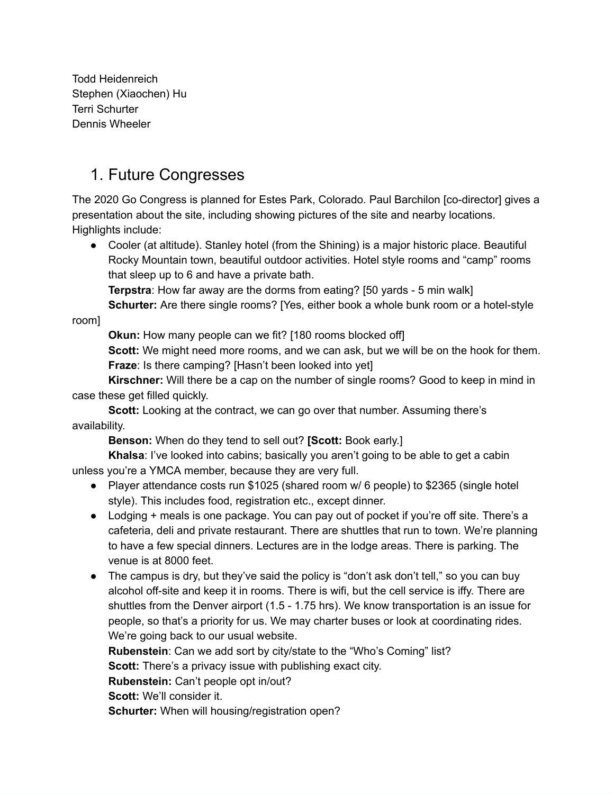Todd Heidenreich Stephen (Xiaochen) Hu Terri Schurter Dennis Wheeler

## <span id="page-2-0"></span>1. Future Congresses

The 2020 Go Congress is planned for Estes Park, Colorado. Paul Barchilon [co-director] gives a presentation about the site, including showing pictures of the site and nearby locations. Highlights include:

● Cooler (at altitude). Stanley hotel (from the Shining) is a major historic place. Beautiful Rocky Mountain town, beautiful outdoor activities. Hotel style rooms and "camp" rooms that sleep up to 6 and have a private bath.

**Terpstra**: How far away are the dorms from eating? [50 yards - 5 min walk]

**Schurter:** Are there single rooms? [Yes, either book a whole bunk room or a hotel-style

room]

**Okun:** How many people can we fit? [180 rooms blocked off]

**Scott:** We might need more rooms, and we can ask, but we will be on the hook for them. **Fraze**: Is there camping? [Hasn't been looked into yet]

**Kirschner:** Will there be a cap on the number of single rooms? Good to keep in mind in case these get filled quickly.

**Scott:** Looking at the contract, we can go over that number. Assuming there's availability.

**Benson:** When do they tend to sell out? **[Scott:** Book early.]

**Khalsa**: I've looked into cabins; basically you aren't going to be able to get a cabin unless you're a YMCA member, because they are very full.

- Player attendance costs run \$1025 (shared room w/ 6 people) to \$2365 (single hotel style). This includes food, registration etc., except dinner.
- Lodging + meals is one package. You can pay out of pocket if you're off site. There's a cafeteria, deli and private restaurant. There are shuttles that run to town. We're planning to have a few special dinners. Lectures are in the lodge areas. There is parking. The venue is at 8000 feet.
- The campus is dry, but they've said the policy is "don't ask don't tell," so you can buy alcohol off-site and keep it in rooms. There is wifi, but the cell service is iffy. There are shuttles from the Denver airport (1.5 - 1.75 hrs). We know transportation is an issue for people, so that's a priority for us. We may charter buses or look at coordinating rides. We're going back to our usual website.

**Rubenstein**: Can we add sort by city/state to the "Who's Coming" list? **Scott:** There's a privacy issue with publishing exact city. **Rubenstein:** Can't people opt in/out? **Scott:** We'll consider it. **Schurter:** When will housing/registration open?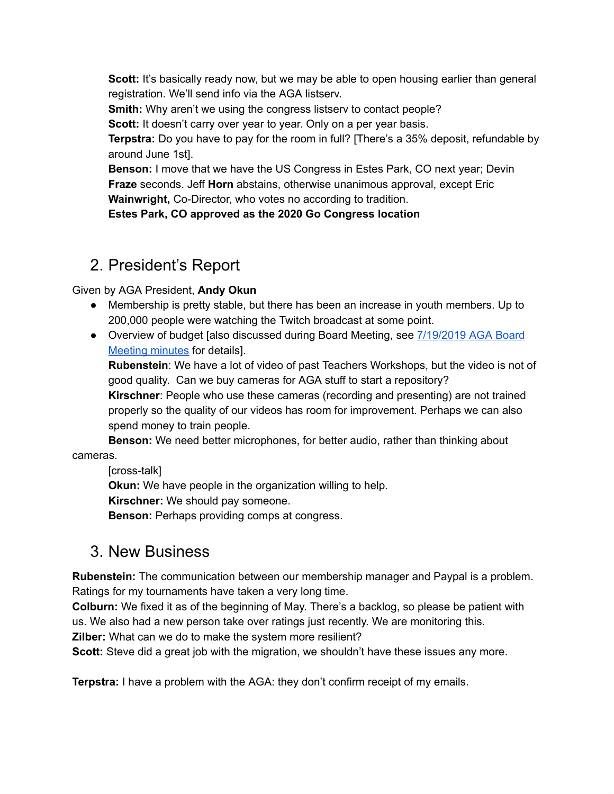**Scott:** It's basically ready now, but we may be able to open housing earlier than general registration. We'll send info via the AGA listserv.

**Smith:** Why aren't we using the congress listsery to contact people?

**Scott:** It doesn't carry over year to year. Only on a per year basis.

**Terpstra:** Do you have to pay for the room in full? [There's a 35% deposit, refundable by around June 1st].

**Benson:** I move that we have the US Congress in Estes Park, CO next year; Devin **Fraze** seconds. Jeff **Horn** abstains, otherwise unanimous approval, except Eric **Wainwright,** Co-Director, who votes no according to tradition.

**Estes Park, CO approved as the 2020 Go Congress location**

# <span id="page-3-0"></span>2. President's Report

Given by AGA President, **Andy Okun**

- Membership is pretty stable, but there has been an increase in youth members. Up to 200,000 people were watching the Twitch broadcast at some point.
- Overview of budget [also discussed during Board Meeting, see [7/19/2019](https://www.usgo.org/boardminutes/aga-board-minutes-2019-07-19) AGA Board [Meeting](https://www.usgo.org/boardminutes/aga-board-minutes-2019-07-19) minutes for details].

**Rubenstein**: We have a lot of video of past Teachers Workshops, but the video is not of good quality. Can we buy cameras for AGA stuff to start a repository?

**Kirschner**: People who use these cameras (recording and presenting) are not trained properly so the quality of our videos has room for improvement. Perhaps we can also spend money to train people.

**Benson:** We need better microphones, for better audio, rather than thinking about cameras.

[cross-talk]

**Okun:** We have people in the organization willing to help.

**Kirschner:** We should pay someone.

**Benson:** Perhaps providing comps at congress.

## <span id="page-3-1"></span>3. New Business

**Rubenstein:** The communication between our membership manager and Paypal is a problem. Ratings for my tournaments have taken a very long time.

**Colburn:** We fixed it as of the beginning of May. There's a backlog, so please be patient with us. We also had a new person take over ratings just recently. We are monitoring this.

**Zilber:** What can we do to make the system more resilient?

**Scott:** Steve did a great job with the migration, we shouldn't have these issues any more.

**Terpstra:** I have a problem with the AGA: they don't confirm receipt of my emails.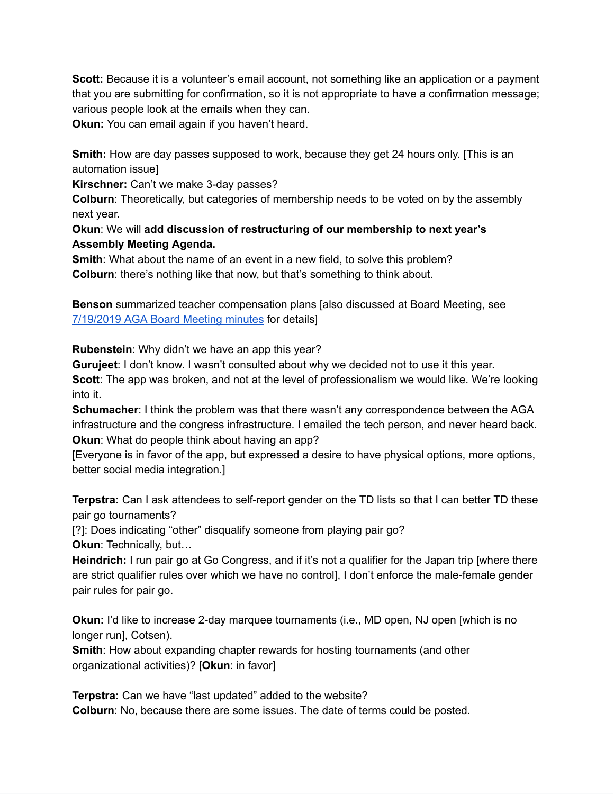**Scott:** Because it is a volunteer's email account, not something like an application or a payment that you are submitting for confirmation, so it is not appropriate to have a confirmation message; various people look at the emails when they can.

**Okun:** You can email again if you haven't heard.

**Smith:** How are day passes supposed to work, because they get 24 hours only. [This is an automation issue]

**Kirschner:** Can't we make 3-day passes?

**Colburn**: Theoretically, but categories of membership needs to be voted on by the assembly next year.

**Okun**: We will **add discussion of restructuring of our membership to next year's Assembly Meeting Agenda.**

**Smith**: What about the name of an event in a new field, to solve this problem? **Colburn**: there's nothing like that now, but that's something to think about.

**Benson** summarized teacher compensation plans [also discussed at Board Meeting, see [7/19/2019](https://www.usgo.org/boardminutes/aga-board-minutes-2019-07-19) AGA Board Meeting minutes for details]

**Rubenstein**: Why didn't we have an app this year?

**Gurujeet**: I don't know. I wasn't consulted about why we decided not to use it this year.

**Scott**: The app was broken, and not at the level of professionalism we would like. We're looking into it.

**Schumacher**: I think the problem was that there wasn't any correspondence between the AGA infrastructure and the congress infrastructure. I emailed the tech person, and never heard back. **Okun**: What do people think about having an app?

[Everyone is in favor of the app, but expressed a desire to have physical options, more options, better social media integration.]

**Terpstra:** Can I ask attendees to self-report gender on the TD lists so that I can better TD these pair go tournaments?

[?]: Does indicating "other" disqualify someone from playing pair go? **Okun**: Technically, but…

**Heindrich:** I run pair go at Go Congress, and if it's not a qualifier for the Japan trip [where there are strict qualifier rules over which we have no control], I don't enforce the male-female gender pair rules for pair go.

**Okun:** I'd like to increase 2-day marquee tournaments (i.e., MD open, NJ open [which is no longer run], Cotsen).

**Smith**: How about expanding chapter rewards for hosting tournaments (and other organizational activities)? [**Okun**: in favor]

**Terpstra:** Can we have "last updated" added to the website? **Colburn**: No, because there are some issues. The date of terms could be posted.